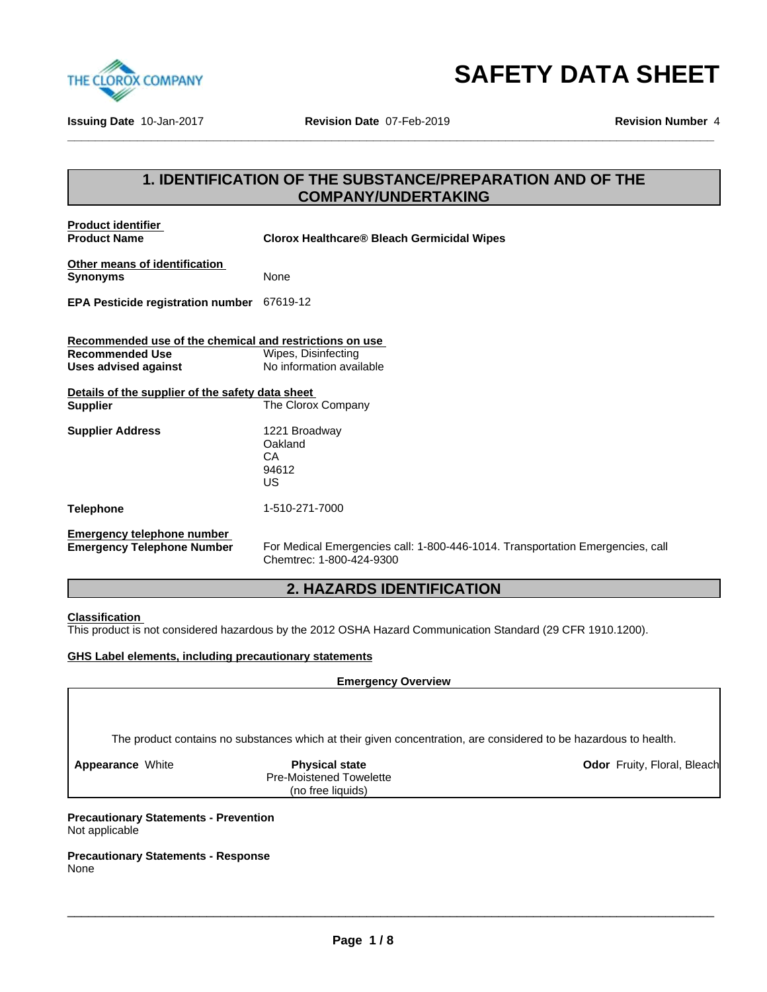

THE CLOROX COMPANY<br>Issuing Date 10-Jan-2017 **Revision Date 07-Feb-2019 Revision Number 4**<br><u>Alternative</u>

**Issuing Date** 10-Jan-2017 **Revision Date** 07-Feb-2019 **Revision Number** 4

# **1. IDENTIFICATION OF THE SUBSTANCE/PREPARATION AND OF THE COMPANY/UNDERTAKING**

| <b>Product identifier</b><br><b>Product Name</b>                                                                 | <b>Clorox Healthcare® Bleach Germicidal Wipes</b>                                                          |
|------------------------------------------------------------------------------------------------------------------|------------------------------------------------------------------------------------------------------------|
| Other means of identification<br>Synonyms                                                                        | None                                                                                                       |
| EPA Pesticide registration number 67619-12                                                                       |                                                                                                            |
| Recommended use of the chemical and restrictions on use<br><b>Recommended Use</b><br><b>Uses advised against</b> | Wipes, Disinfecting<br>No information available                                                            |
| Details of the supplier of the safety data sheet<br><b>Supplier</b>                                              | The Clorox Company                                                                                         |
| <b>Supplier Address</b>                                                                                          | 1221 Broadway<br>Oakland<br>CA<br>94612<br>US                                                              |
| Telephone                                                                                                        | 1-510-271-7000                                                                                             |
| <b>Emergency telephone number</b><br><b>Emergency Telephone Number</b>                                           | For Medical Emergencies call: 1-800-446-1014. Transportation Emergencies, call<br>Chemtrec: 1-800-424-9300 |
|                                                                                                                  | <b>2. HAZARDS IDENTIFICATION</b>                                                                           |

# **Classification**

This product is not considered hazardous by the 2012 OSHA Hazard Communication Standard (29 CFR 1910.1200).

# **GHS Label elements, including precautionary statements**

| <b>Emergency Overview</b> |                                                                                                                  |                                    |
|---------------------------|------------------------------------------------------------------------------------------------------------------|------------------------------------|
|                           |                                                                                                                  |                                    |
|                           | The product contains no substances which at their given concentration, are considered to be hazardous to health. |                                    |
| <b>Appearance White</b>   | <b>Physical state</b><br><b>Pre-Moistened Towelette</b>                                                          | <b>Odor</b> Fruity, Floral, Bleach |
|                           | (no free liquids)                                                                                                |                                    |

\_\_\_\_\_\_\_\_\_\_\_\_\_\_\_\_\_\_\_\_\_\_\_\_\_\_\_\_\_\_\_\_\_\_\_\_\_\_\_\_\_\_\_\_\_\_\_\_\_\_\_\_\_\_\_\_\_\_\_\_\_\_\_\_\_\_\_\_\_\_\_\_\_\_\_\_\_\_\_\_\_\_\_\_\_\_\_\_\_\_\_\_\_

**Precautionary Statements - Response** None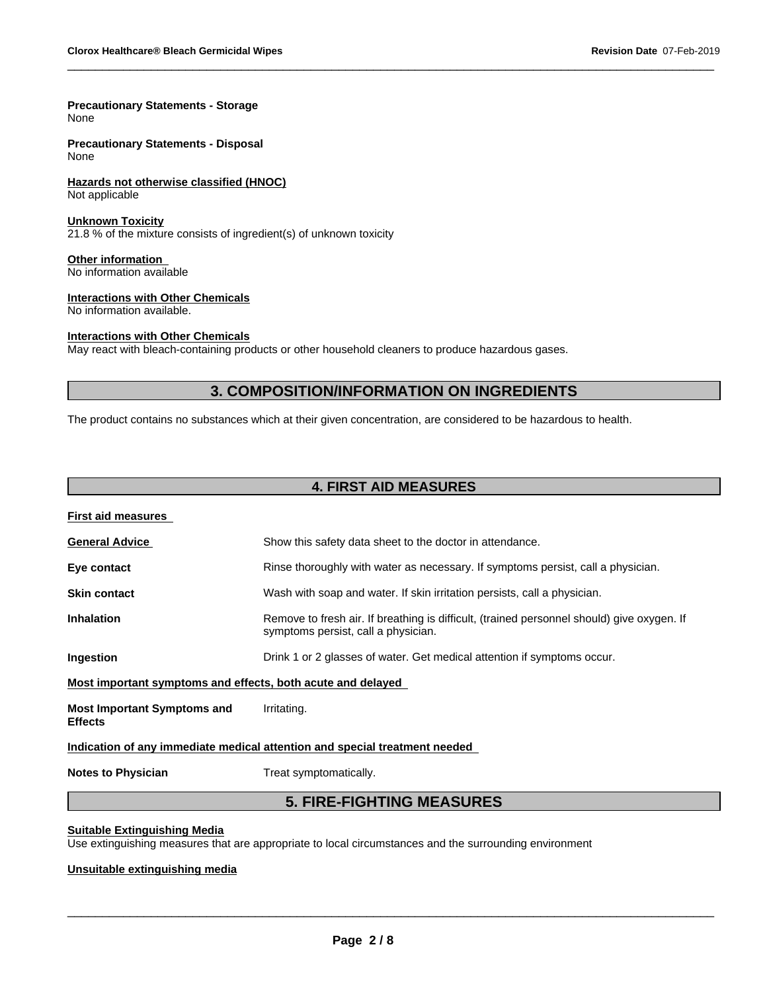# **Precautionary Statements - Storage**

None

**Precautionary Statements - Disposal** None

**Hazards not otherwise classified (HNOC)**

Not applicable

# **Unknown Toxicity**

 $21.8$  % of the mixture consists of ingredient(s) of unknown toxicity

# **Other information**

No information available

## **Interactions with Other Chemicals**

No information available.

## **Interactions with Other Chemicals**

May react with bleach-containing products or other household cleaners to produce hazardous gases.

# **3. COMPOSITION/INFORMATION ON INGREDIENTS**

The product contains no substances which at their given concentration, are considered to be hazardous to health.

# **4. FIRST AID MEASURES**

|                                                             | <b>5. FIRE-FIGHTING MEASURES</b>                                                                                                  |
|-------------------------------------------------------------|-----------------------------------------------------------------------------------------------------------------------------------|
| <b>Notes to Physician</b>                                   | Treat symptomatically.                                                                                                            |
|                                                             | Indication of any immediate medical attention and special treatment needed                                                        |
| <b>Most Important Symptoms and</b><br><b>Effects</b>        | Irritating.                                                                                                                       |
| Most important symptoms and effects, both acute and delayed |                                                                                                                                   |
| Ingestion                                                   | Drink 1 or 2 glasses of water. Get medical attention if symptoms occur.                                                           |
| <b>Inhalation</b>                                           | Remove to fresh air. If breathing is difficult, (trained personnel should) give oxygen. If<br>symptoms persist, call a physician. |
| <b>Skin contact</b>                                         | Wash with soap and water. If skin irritation persists, call a physician.                                                          |
| Eye contact                                                 | Rinse thoroughly with water as necessary. If symptoms persist, call a physician.                                                  |
| <b>General Advice</b>                                       | Show this safety data sheet to the doctor in attendance.                                                                          |
| <b>First aid measures</b>                                   |                                                                                                                                   |

## **Suitable Extinguishing Media**

Use extinguishing measures that are appropriate to local circumstances and the surrounding environment

#### **Unsuitable extinguishing media**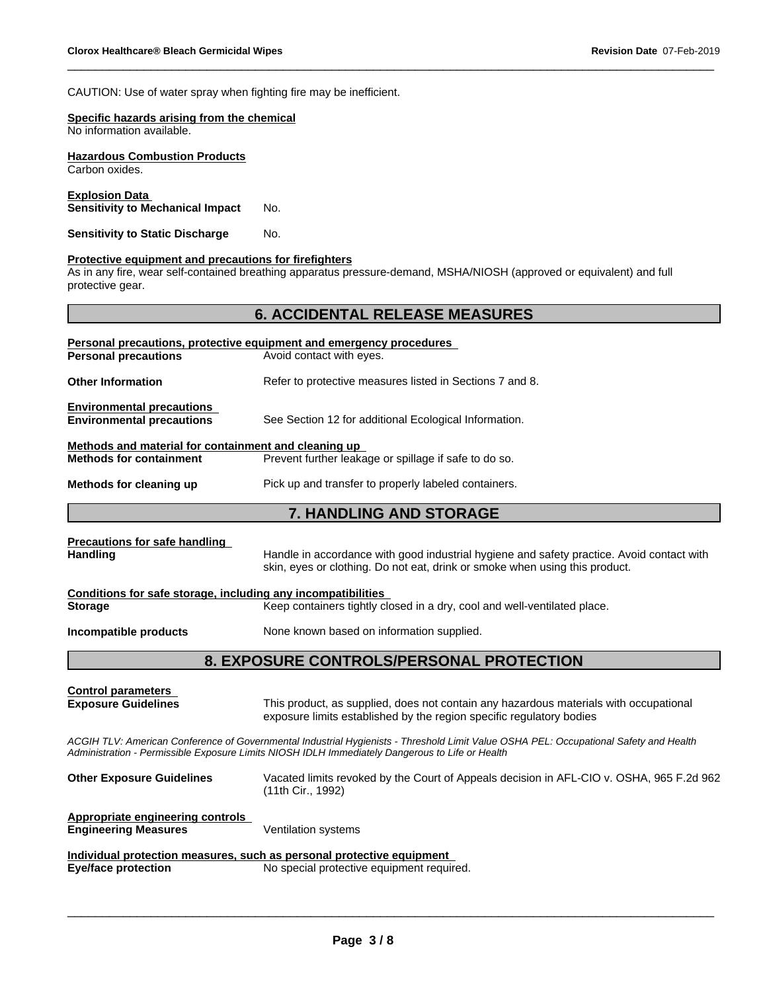CAUTION: Use of water spray when fighting fire may be inefficient.

# **Specific hazards arising from the chemical**

No information available.

**Hazardous Combustion Products** Carbon oxides.

**Explosion Data Sensitivity to Mechanical Impact** No.

**Sensitivity to Static Discharge** No.

#### **Protective equipment and precautions for firefighters**

As in any fire, wear self-contained breathing apparatus pressure-demand, MSHA/NIOSH (approved or equivalent) and full protective gear.

# **6. ACCIDENTAL RELEASE MEASURES Personal precautions, protective equipment and emergency procedures Personal precautions Avoid contact with eyes. Other Information** Refer to protective measures listed in Sections 7 and 8. **Environmental precautions Environmental precautions** See Section 12 for additional Ecological Information. **Methods and material for containment and cleaning up Methods for containment** Prevent further leakage or spillage if safe to do so. **Methods for cleaning up** Pick up and transfer to properly labeled containers. **7. HANDLING AND STORAGE Precautions for safe handling** Handling **Handle in accordance with good industrial hygiene and safety practice. Avoid contact with** skin, eyes or clothing. Do not eat, drink or smoke when using this product. **Conditions for safe storage, including any incompatibilities Storage** Keep containers tightly closed in a dry, cool and well-ventilated place. **Incompatible products** None known based on information supplied. **8. EXPOSURE CONTROLS/PERSONAL PROTECTION Control parameters Exposure Guidelines** This product, as supplied, does not contain any hazardous materials with occupational exposure limits established by the region specific regulatory bodies *ACGIH TLV: American Conference of Governmental Industrial Hygienists - Threshold Limit Value OSHA PEL: Occupational Safety and Health Administration - Permissible Exposure Limits NIOSH IDLH Immediately Dangerous to Life or Health* **Other Exposure Guidelines** Vacated limits revoked by the Court of Appeals decision in AFL-CIO v.OSHA, 965 F.2d 962 (11th Cir., 1992) **Appropriate engineering controls Engineering Measures Ventilation systems Individual protection measures, such as personal protective equipment Eye/face protection** No special protective equipment required.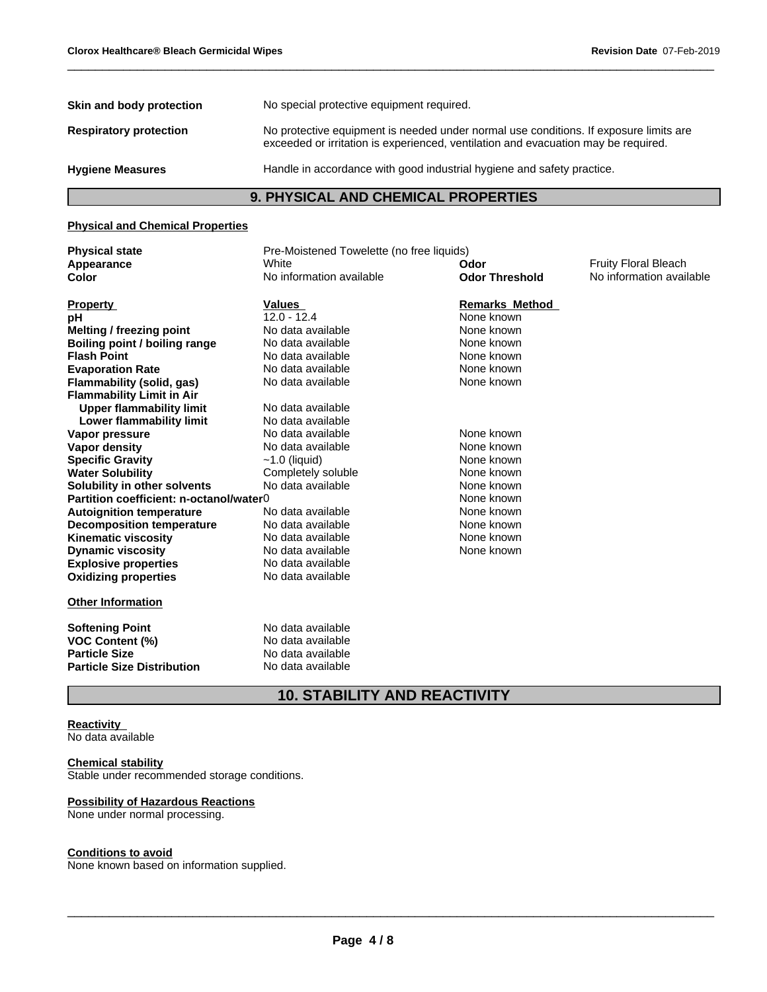| Skin and body protection      | No special protective equipment required.                                                                                                                                   |
|-------------------------------|-----------------------------------------------------------------------------------------------------------------------------------------------------------------------------|
| <b>Respiratory protection</b> | No protective equipment is needed under normal use conditions. If exposure limits are<br>exceeded or irritation is experienced, ventilation and evacuation may be required. |
| <b>Hygiene Measures</b>       | Handle in accordance with good industrial hygiene and safety practice.                                                                                                      |

# **9. PHYSICAL AND CHEMICAL PROPERTIES**

# **Physical and Chemical Properties**

| <b>Physical state</b>                   | Pre-Moistened Towelette (no free liquids) |                       |                             |
|-----------------------------------------|-------------------------------------------|-----------------------|-----------------------------|
| Appearance                              | White                                     | Odor                  | <b>Fruity Floral Bleach</b> |
| Color                                   | No information available                  | <b>Odor Threshold</b> | No information available    |
| <b>Property</b>                         | Values                                    | <b>Remarks Method</b> |                             |
| рH                                      | $12.0 - 12.4$                             | None known            |                             |
| Melting / freezing point                | No data available                         | None known            |                             |
| Boiling point / boiling range           | No data available                         | None known            |                             |
| <b>Flash Point</b>                      | No data available                         | None known            |                             |
| <b>Evaporation Rate</b>                 | No data available                         | None known            |                             |
| Flammability (solid, gas)               | No data available                         | None known            |                             |
| <b>Flammability Limit in Air</b>        |                                           |                       |                             |
| <b>Upper flammability limit</b>         | No data available                         |                       |                             |
| Lower flammability limit                | No data available                         |                       |                             |
| Vapor pressure                          | No data available                         | None known            |                             |
| Vapor density                           | No data available                         | None known            |                             |
| <b>Specific Gravity</b>                 | $~1.0$ (liquid)                           | None known            |                             |
| <b>Water Solubility</b>                 | Completely soluble                        | None known            |                             |
| Solubility in other solvents            | No data available                         | None known            |                             |
| Partition coefficient: n-octanol/water0 |                                           | None known            |                             |
| <b>Autoignition temperature</b>         | No data available                         | None known            |                             |
| <b>Decomposition temperature</b>        | No data available                         | None known            |                             |
| <b>Kinematic viscosity</b>              | No data available                         | None known            |                             |
| <b>Dynamic viscosity</b>                | No data available                         | None known            |                             |
| <b>Explosive properties</b>             | No data available                         |                       |                             |
| <b>Oxidizing properties</b>             | No data available                         |                       |                             |
| <b>Other Information</b>                |                                           |                       |                             |
| <b>Softening Point</b>                  | No data available                         |                       |                             |
| <b>VOC Content (%)</b>                  | No data available                         |                       |                             |
| <b>Particle Size</b>                    | No data available                         |                       |                             |
| <b>Particle Size Distribution</b>       | No data available                         |                       |                             |
|                                         |                                           |                       |                             |

# **10. STABILITY AND REACTIVITY**

# **Reactivity**

No data available

## **Chemical stability**

Stable under recommended storage conditions.

#### **Possibility of Hazardous Reactions**

None under normal processing.

# **Conditions to avoid**

None known based on information supplied.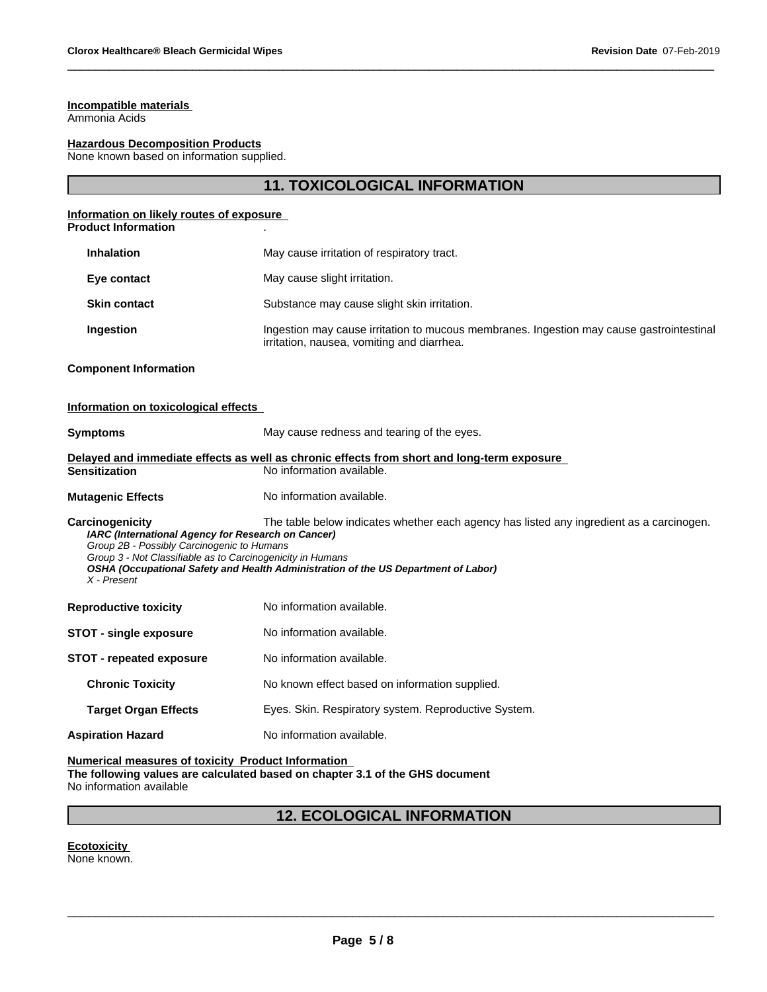#### **Incompatible materials**

Ammonia Acids

**Hazardous Decomposition Products**

None known based on information supplied.

# **11. TOXICOLOGICAL INFORMATION**

#### **Information on likely routes of exposure**

| <b>Product Information</b>                                                                                                                                                                       |                                                                                                                                                                                |
|--------------------------------------------------------------------------------------------------------------------------------------------------------------------------------------------------|--------------------------------------------------------------------------------------------------------------------------------------------------------------------------------|
| <b>Inhalation</b>                                                                                                                                                                                | May cause irritation of respiratory tract.                                                                                                                                     |
| Eye contact                                                                                                                                                                                      | May cause slight irritation.                                                                                                                                                   |
| <b>Skin contact</b>                                                                                                                                                                              | Substance may cause slight skin irritation.                                                                                                                                    |
| Ingestion                                                                                                                                                                                        | Ingestion may cause irritation to mucous membranes. Ingestion may cause gastrointestinal<br>irritation, nausea, vomiting and diarrhea.                                         |
| <b>Component Information</b>                                                                                                                                                                     |                                                                                                                                                                                |
| Information on toxicological effects                                                                                                                                                             |                                                                                                                                                                                |
| Symptoms                                                                                                                                                                                         | May cause redness and tearing of the eyes.                                                                                                                                     |
|                                                                                                                                                                                                  | Delayed and immediate effects as well as chronic effects from short and long-term exposure                                                                                     |
| <b>Sensitization</b>                                                                                                                                                                             | No information available.                                                                                                                                                      |
| Mutaqenic Effects                                                                                                                                                                                | No information available.                                                                                                                                                      |
| Carcinogenicity<br>IARC (International Agency for Research on Cancer)<br>Group 2B - Possibly Carcinogenic to Humans<br>Group 3 - Not Classifiable as to Carcinogenicity in Humans<br>X - Present | The table below indicates whether each agency has listed any ingredient as a carcinogen.<br>OSHA (Occupational Safety and Health Administration of the US Department of Labor) |
| <b>Reproductive toxicity</b>                                                                                                                                                                     | No information available.                                                                                                                                                      |
| <b>STOT - single exposure</b>                                                                                                                                                                    | No information available.                                                                                                                                                      |
| <b>STOT - repeated exposure</b>                                                                                                                                                                  | No information available.                                                                                                                                                      |
| <b>Chronic Toxicity</b>                                                                                                                                                                          | No known effect based on information supplied.                                                                                                                                 |
| <b>Target Organ Effects</b>                                                                                                                                                                      | Eyes. Skin. Respiratory system. Reproductive System.                                                                                                                           |
| <b>Aspiration Hazard</b>                                                                                                                                                                         | No information available.                                                                                                                                                      |
|                                                                                                                                                                                                  |                                                                                                                                                                                |

**Numerical measures of toxicity Product Information**

**The following values are calculated based on chapter 3.1 of the GHS document** No information available

# **12. ECOLOGICAL INFORMATION**

\_\_\_\_\_\_\_\_\_\_\_\_\_\_\_\_\_\_\_\_\_\_\_\_\_\_\_\_\_\_\_\_\_\_\_\_\_\_\_\_\_\_\_\_\_\_\_\_\_\_\_\_\_\_\_\_\_\_\_\_\_\_\_\_\_\_\_\_\_\_\_\_\_\_\_\_\_\_\_\_\_\_\_\_\_\_\_\_\_\_\_\_\_

**Ecotoxicity**  None known.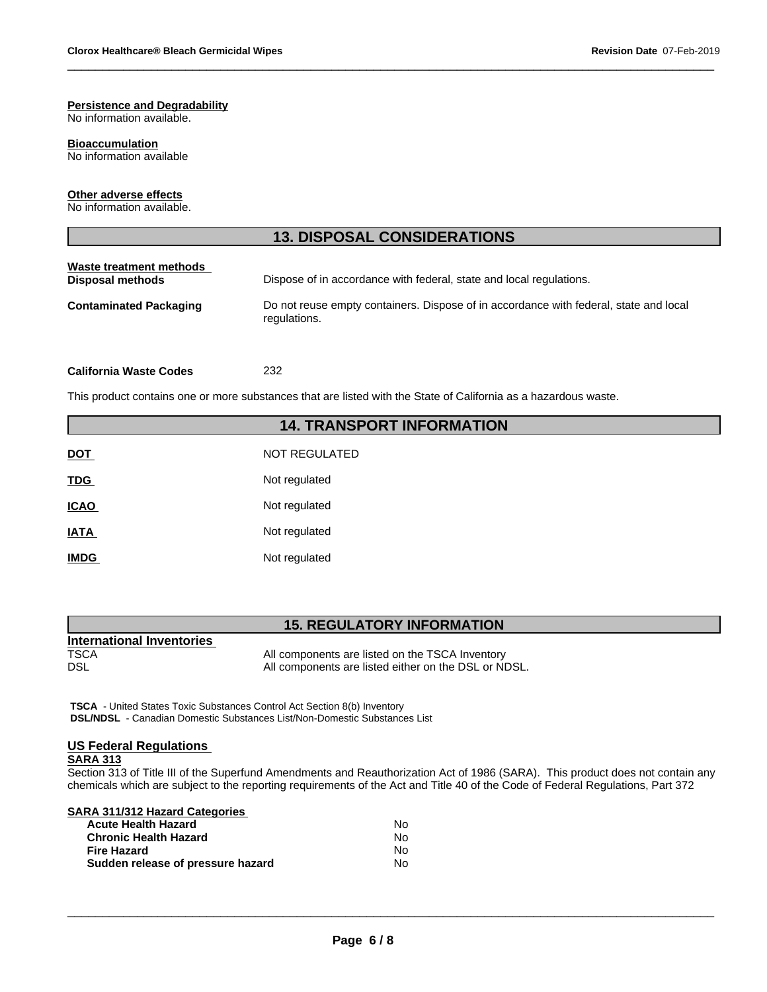#### **Persistence and Degradability**

No information available.

#### **Bioaccumulation**

No information available

# **Other adverse effects**

No information available.

|                                             | <b>13. DISPOSAL CONSIDERATIONS</b>                                                                    |
|---------------------------------------------|-------------------------------------------------------------------------------------------------------|
| Waste treatment methods<br>Disposal methods | Dispose of in accordance with federal, state and local regulations.                                   |
| <b>Contaminated Packaging</b>               | Do not reuse empty containers. Dispose of in accordance with federal, state and local<br>regulations. |

# **California Waste Codes** 232

This product contains one or more substances that are listed with the State of California as a hazardous waste.

# **14. TRANSPORT INFORMATION**

| <b>DOT</b>  | <b>NOT REGULATED</b> |
|-------------|----------------------|
| <b>TDG</b>  | Not regulated        |
| <b>ICAO</b> | Not regulated        |
| <b>IATA</b> | Not regulated        |
| <b>IMDG</b> | Not regulated        |

# **15. REGULATORY INFORMATION**

| All components are listed on the TSCA Inventory      |
|------------------------------------------------------|
| All components are listed either on the DSL or NDSL. |
|                                                      |

 **TSCA** - United States Toxic Substances Control Act Section 8(b) Inventory  **DSL/NDSL** - Canadian Domestic Substances List/Non-Domestic Substances List

# **US Federal Regulations**

#### **SARA 313**

Section 313 of Title III of the Superfund Amendments and Reauthorization Act of 1986 (SARA). This product does not contain any chemicals which are subject to the reporting requirements of the Act and Title 40 of the Code of Federal Regulations, Part 372

| SARA 311/312 Hazard Categories    |    |  |
|-----------------------------------|----|--|
| <b>Acute Health Hazard</b>        | No |  |
| <b>Chronic Health Hazard</b>      | N٥ |  |
| <b>Fire Hazard</b>                | N٥ |  |
| Sudden release of pressure hazard | N٥ |  |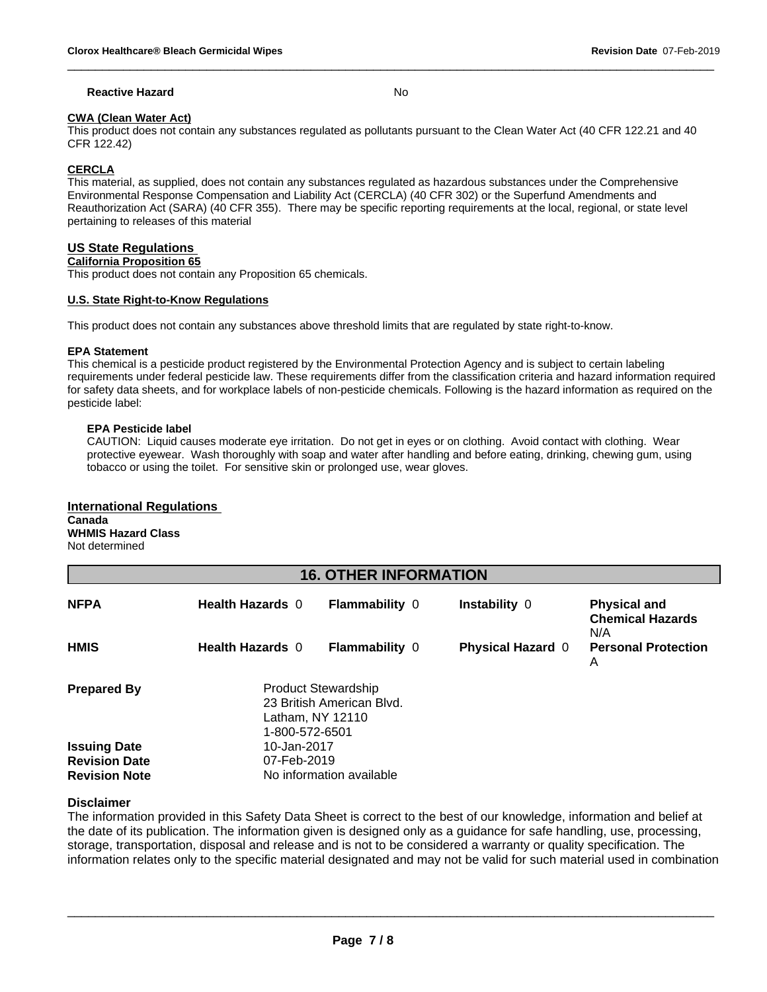#### **Reactive Hazard** No

# **CWA** (Clean Water Act)

This product does not contain any substances regulated as pollutants pursuant to the Clean Water Act (40 CFR 122.21 and 40 CFR 122.42)

# **CERCLA**

This material, as supplied, does not contain any substances regulated as hazardous substances under the Comprehensive Environmental Response Compensation and Liability Act (CERCLA) (40 CFR 302) or the Superfund Amendments and Reauthorization Act (SARA) (40 CFR 355). There may be specific reporting requirements at the local, regional, or state level pertaining to releases of this material

# **US State Regulations**

**California Proposition 65**

This product does not contain any Proposition 65 chemicals.

## **U.S. State Right-to-Know Regulations**

This product does not contain any substances above threshold limits that are regulated by state right-to-know.

# **EPA Statement**

This chemical is a pesticide product registered by the Environmental Protection Agency and is subject to certain labeling requirements under federal pesticide law. These requirements differ from the classification criteria and hazard information required for safety data sheets, and for workplace labels of non-pesticide chemicals. Following is the hazard information as required on the pesticide label:

## **EPA Pesticide label**

CAUTION: Liquid causes moderate eye irritation. Do not get in eyes or on clothing. Avoid contact with clothing. Wear protective eyewear. Wash thoroughly with soap and water after handling and before eating, drinking, chewing gum, using tobacco or using the toilet. For sensitive skin or prolonged use, wear gloves.

| <b>International Regulations</b> |  |
|----------------------------------|--|
| Canada                           |  |
| <b>WHMIS Hazard Class</b>        |  |
| Not determined                   |  |

| <b>16. OTHER INFORMATION</b> |                                                                                               |                          |                          |                                                       |
|------------------------------|-----------------------------------------------------------------------------------------------|--------------------------|--------------------------|-------------------------------------------------------|
| <b>NFPA</b>                  | <b>Health Hazards 0</b>                                                                       | <b>Flammability 0</b>    | Instability $0$          | <b>Physical and</b><br><b>Chemical Hazards</b><br>N/A |
| <b>HMIS</b>                  | <b>Health Hazards 0</b>                                                                       | <b>Flammability 0</b>    | <b>Physical Hazard 0</b> | <b>Personal Protection</b><br>A                       |
| <b>Prepared By</b>           | <b>Product Stewardship</b><br>23 British American Blvd.<br>Latham, NY 12110<br>1-800-572-6501 |                          |                          |                                                       |
| <b>Issuing Date</b>          | 10-Jan-2017                                                                                   |                          |                          |                                                       |
| <b>Revision Date</b>         | 07-Feb-2019                                                                                   |                          |                          |                                                       |
| <b>Revision Note</b>         |                                                                                               | No information available |                          |                                                       |

## **Disclaimer**

The information provided in this Safety Data Sheet is correct to the best of our knowledge, information and belief at the date of its publication. The information given is designed only as a guidance for safe handling, use, processing, storage, transportation, disposal and release and is not to be considered a warranty or quality specification. The information relates only to the specific material designated and may not be valid for such material used in combination